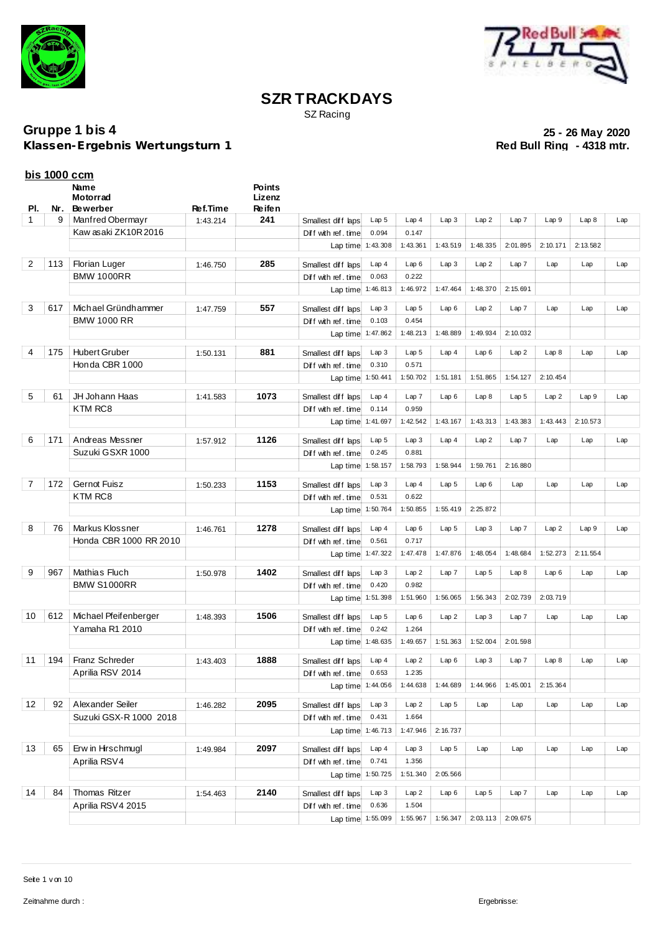



SZ Racing

**Klassen-Ergebnis Wertungsturn 1** 

|                | <u>bis 1000 ccm</u> |                        |          |                         |                          |                   |                  |                  |                  |                  |          |          |     |
|----------------|---------------------|------------------------|----------|-------------------------|--------------------------|-------------------|------------------|------------------|------------------|------------------|----------|----------|-----|
|                |                     | Name<br>Motorrad       |          | <b>Points</b><br>Lizenz |                          |                   |                  |                  |                  |                  |          |          |     |
| PI.            | Nr.                 | <b>Bewerber</b>        | Ref.Time | Re ife n                |                          |                   |                  |                  |                  |                  |          |          |     |
| $\mathbf{1}$   | 9                   | Manfred Obermayr       | 1:43.214 | 241                     | Smallest diff laps       | Lap <sub>5</sub>  | Lap4             | Lap3             | Lap2             | Lap 7            | Lap9     | Lap8     | Lap |
|                |                     | Kaw asaki ZK10R2016    |          |                         | Diff with ref. time      | 0.094             | 0.147            |                  |                  |                  |          |          |     |
|                |                     |                        |          |                         |                          | Lap time 1:43.308 | 1:43.361         | 1:43.519         | 1:48.335         | 2:01.895         | 2:10.171 | 2:13.582 |     |
| $\overline{2}$ | 113                 | Florian Luger          | 1:46.750 | 285                     | Smallest diff laps       | Lap4              | Lap6             | Lap3             | Lap2             | Lap 7            | Lap      | Lap      | Lap |
|                |                     | <b>BMW 1000RR</b>      |          |                         | Diff with ref. time      | 0.063             | 0.222            |                  |                  |                  |          |          |     |
|                |                     |                        |          |                         |                          | Lap time 1:46.813 | 1:46.972         | 1:47.464         | 1:48.370         | 2:15.691         |          |          |     |
| 3              | 617                 | Michael Gründhammer    | 1:47.759 | 557                     | Smallest diff laps       | Lap 3             | Lap <sub>5</sub> | Lap6             | Lap2             | Lap7             | Lap      | Lap      | Lap |
|                |                     | <b>BMW 1000 RR</b>     |          |                         | Diff with ref. time      | 0.103             | 0.454            |                  |                  |                  |          |          |     |
|                |                     |                        |          |                         |                          | Lap time 1:47.862 | 1:48.213         | 1:48.889         | 1:49.934         | 2:10.032         |          |          |     |
|                |                     |                        |          |                         |                          |                   |                  |                  |                  |                  |          |          |     |
| 4              | 175                 | <b>Hubert Gruber</b>   | 1:50.131 | 881                     | Smallest diff laps       | Lap3              | Lap <sub>5</sub> | Lap4             | Lap6             | Lap2             | Lap8     | Lap      | Lap |
|                |                     | Honda CBR 1000         |          |                         | Diff with ref. time      | 0.310             | 0.571            |                  |                  |                  |          |          |     |
|                |                     |                        |          |                         |                          | Lap time 1:50.441 | 1:50.702         | 1:51.181         | 1:51.865         | 1:54.127         | 2:10.454 |          |     |
| 5              | 61                  | JH Johann Haas         | 1:41.583 | 1073                    | Smallest diff laps       | Lap4              | Lap7             | Lap6             | Lap8             | Lap <sub>5</sub> | Lap2     | Lap9     | Lap |
|                |                     | KTM RC8                |          |                         | Diff with ref. time      | 0.114             | 0.959            |                  |                  |                  |          |          |     |
|                |                     |                        |          |                         | Lap time 1:41.697        |                   | 1:42.542         | 1:43.167         | 1:43.313         | 1:43.383         | 1:43.443 | 2:10.573 |     |
| 6              | 171                 | Andreas Messner        | 1:57.912 | 1126                    | Smallest diff laps       | Lap <sub>5</sub>  | Lap3             | Lap4             | Lap2             | Lap 7            | Lap      | Lap      | Lap |
|                |                     | Suzuki GSXR 1000       |          |                         | Diff with ref. time      | 0.245             | 0.881            |                  |                  |                  |          |          |     |
|                |                     |                        |          |                         |                          | Lap time 1:58.157 | 1:58.793         | 1:58.944         | 1:59.761         | 2:16.880         |          |          |     |
| 7              | 172                 | <b>Gernot Fuisz</b>    | 1:50.233 | 1153                    | Smallest diff laps       | Lap3              | Lap4             | Lap <sub>5</sub> | Lap6             | Lap              | Lap      | Lap      | Lap |
|                |                     | KTM RC8                |          |                         | Diff with ref. time      | 0.531             | 0.622            |                  |                  |                  |          |          |     |
|                |                     |                        |          |                         |                          | Lap time 1:50.764 | 1:50.855         | 1:55.419         | 2:25.872         |                  |          |          |     |
|                |                     |                        |          |                         |                          |                   |                  |                  |                  |                  |          |          |     |
| 8              | 76                  | Markus Klossner        | 1:46.761 | 1278                    | Smallest diff laps       | Lap4              | Lap6             | Lap <sub>5</sub> | Lap3             | Lap 7            | Lap2     | Lap 9    | Lap |
|                |                     | Honda CBR 1000 RR 2010 |          |                         | Diff with ref. time      | 0.561             | 0.717            |                  |                  |                  |          |          |     |
|                |                     |                        |          |                         |                          | Lap time 1:47.322 | 1:47.478         | 1:47.876         | 1:48.054         | 1:48.684         | 1:52.273 | 2:11.554 |     |
| 9              | 967                 | Mathias Fluch          | 1:50.978 | 1402                    | Smallest diff laps       | Lap3              | Lap2             | Lap7             | Lap <sub>5</sub> | Lap8             | Lap6     | Lap      | Lap |
|                |                     | <b>BMW S1000RR</b>     |          |                         | Diff with ref.time       | 0.420             | 0.982            |                  |                  |                  |          |          |     |
|                |                     |                        |          |                         |                          | Lap time 1:51.398 | 1:51.960         | 1:56.065         | 1:56.343         | 2:02.739         | 2:03.719 |          |     |
| 10             | 612                 | Michael Pfeifenberger  | 1:48.393 | 1506                    | Smallest diff laps       | Lap <sub>5</sub>  | Lap6             | Lap2             | Lap3             | Lap 7            | Lap      | Lap      | Lap |
|                |                     | Yamaha R1 2010         |          |                         | Diff with ref. time      | 0.242             | 1.264            |                  |                  |                  |          |          |     |
|                |                     |                        |          |                         |                          | Lap time 1:48.635 | 1:49.657         | 1:51.363         | 1:52.004         | 2:01.598         |          |          |     |
| 11             |                     | 194   Franz Schreder   | 1:43.403 | 1888                    | Smallest diff laps Lap 4 |                   | Lap2             | Lap6             | Lap3             | Lap7             | Lap8     | Lap      | Lap |
|                |                     | Aprilia RSV 2014       |          |                         | Diff with ref. time      | 0.653             | 1.235            |                  |                  |                  |          |          |     |
|                |                     |                        |          |                         | Lap time                 | 1:44.056          | 1:44.638         | 1:44.689         | 1:44.966         | 1:45.001         | 2:15.364 |          |     |
| 12             | 92                  | Alexander Seiler       |          | 2095                    |                          |                   | Lap2             | Lap <sub>5</sub> |                  |                  |          |          |     |
|                |                     | Suzuki GSX-R 1000 2018 | 1:46.282 |                         | Smallest diff laps       | Lap3<br>0.431     | 1.664            |                  | Lap              | Lap              | Lap      | Lap      | Lap |
|                |                     |                        |          |                         | Diff with ref. time      |                   |                  |                  |                  |                  |          |          |     |
|                |                     |                        |          |                         |                          | Lap time 1:46.713 | 1:47.946         | 2:16.737         |                  |                  |          |          |     |
| 13             | 65                  | Erw in Hirschmugl      | 1:49.984 | 2097                    | Smallest diff laps       | Lap4              | Lap 3            | Lap <sub>5</sub> | Lap              | Lap              | Lap      | Lap      | Lap |
|                |                     | Aprilia RSV4           |          |                         | Diff with ref. time      | 0.741             | 1.356            |                  |                  |                  |          |          |     |
|                |                     |                        |          |                         |                          | Lap time 1:50.725 | 1:51.340         | 2:05.566         |                  |                  |          |          |     |
| 14             | 84                  | Thomas Ritzer          | 1:54.463 | 2140                    | Smallest diff laps       | Lap3              | Lap2             | Lap6             | Lap <sub>5</sub> | Lap 7            | Lap      | Lap      | Lap |
|                |                     | Aprilia RSV4 2015      |          |                         | Diff with ref. time      | 0.636             | 1.504            |                  |                  |                  |          |          |     |
|                |                     |                        |          |                         |                          | Lap time 1:55.099 | 1:55.967         | 1:56.347         | 2:03.113         | 2:09.675         |          |          |     |
|                |                     |                        |          |                         |                          |                   |                  |                  |                  |                  |          |          |     |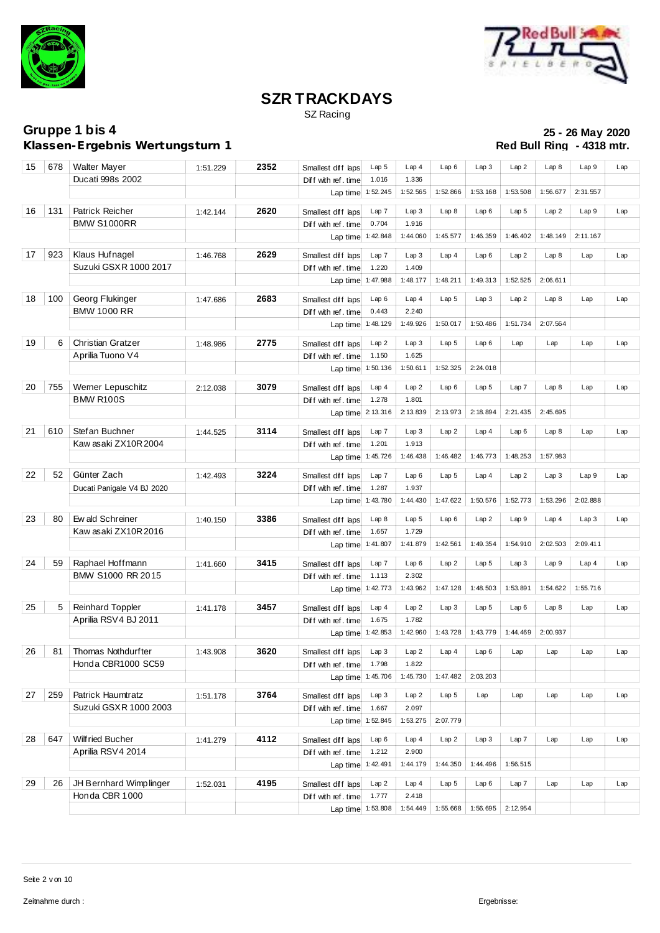



SZ Racing

**Klassen-Ergebnis Wertungsturn 1** 

| 15 | 678 | <b>Walter Mayer</b>                   | 1:51.229 | 2352 | Smallest diff laps  | Lap <sub>5</sub>  | Lap4          | Lap6             | Lap3             | Lap2             | Lap8     | Lap9     | Lap |
|----|-----|---------------------------------------|----------|------|---------------------|-------------------|---------------|------------------|------------------|------------------|----------|----------|-----|
|    |     | Ducati 998s 2002                      |          |      | Diff with ref.time  | 1.016             | 1.336         |                  |                  |                  |          |          |     |
|    |     |                                       |          |      |                     | Lap time 1:52.245 | 1:52.565      | 1:52.866         | 1:53.168         | 1:53.508         | 1:56.677 | 2:31.557 |     |
|    |     |                                       |          |      |                     |                   |               |                  |                  |                  |          |          |     |
| 16 | 131 | Patrick Reicher                       | 1:42.144 | 2620 | Smallest diff laps  | Lap 7             | Lap 3         | Lap8             | Lap6             | Lap <sub>5</sub> | Lap2     | Lap9     | Lap |
|    |     | <b>BMW S1000RR</b>                    |          |      | Diff with ref. time | 0.704             | 1.916         |                  |                  |                  |          |          |     |
|    |     |                                       |          |      |                     | Lap time 1:42.848 | 1:44.060      | 1:45.577         | 1:46.359         | 1:46.402         | 1:48.149 | 2:11.167 |     |
| 17 | 923 | Klaus Hufnagel                        | 1:46.768 | 2629 | Smallest diff laps  | Lap7              | Lap3          | Lap4             | Lap6             | Lap2             | Lap8     | Lap      | Lap |
|    |     | Suzuki GSXR 1000 2017                 |          |      | Diff with ref. time | 1.220             | 1.409         |                  |                  |                  |          |          |     |
|    |     |                                       |          |      | Lap time            | 1:47.988          | 1:48.177      | 1:48.211         | 1:49.313         | 1:52.525         | 2:06.611 |          |     |
|    |     |                                       |          |      |                     |                   |               |                  |                  |                  |          |          |     |
| 18 | 100 | Georg Flukinger                       | 1:47.686 | 2683 | Smallest diff laps  | Lap6              | Lap4          | Lap <sub>5</sub> | Lap3             | Lap2             | Lap8     | Lap      | Lap |
|    |     | <b>BMW 1000 RR</b>                    |          |      | Diff with ref. time | 0.443             | 2.240         |                  |                  |                  |          |          |     |
|    |     |                                       |          |      |                     | Lap time 1:48.129 | 1:49.926      | 1:50.017         | 1:50.486         | 1:51.734         | 2:07.564 |          |     |
| 19 | 6   | <b>Christian Gratzer</b>              | 1:48.986 | 2775 | Smallest diff laps  | Lap2              | Lap3          | Lap <sub>5</sub> | Lap6             | Lap              | Lap      | Lap      | Lap |
|    |     | Aprilia Tuono V4                      |          |      | Diff with ref. time | 1.150             | 1.625         |                  |                  |                  |          |          |     |
|    |     |                                       |          |      |                     | Lap time 1:50.136 | 1:50.611      | 1:52.325         | 2:24.018         |                  |          |          |     |
|    |     |                                       |          |      |                     |                   |               |                  |                  |                  |          |          |     |
| 20 | 755 | Werner Lepuschitz<br><b>BMW R100S</b> | 2:12.038 | 3079 | Smallest diff laps  | Lap4              | Lap2          | Lap6             | Lap 5            | Lap 7            | Lap8     | Lap      | Lap |
|    |     |                                       |          |      | Diff with ref. time | 1.278             | 1.801         | 2:13.973         | 2:18.894         | 2:21.435         | 2:45.695 |          |     |
|    |     |                                       |          |      |                     | Lap time 2:13.316 | 2:13.839      |                  |                  |                  |          |          |     |
| 21 | 610 | Stefan Buchner                        | 1:44.525 | 3114 | Smallest diff laps  | Lap 7             | Lap3          | Lap2             | Lap4             | Lap6             | Lap8     | Lap      | Lap |
|    |     | Kaw asaki ZX10R2004                   |          |      | Diff with ref. time | 1.201             | 1.913         |                  |                  |                  |          |          |     |
|    |     |                                       |          |      |                     | Lap time 1:45.726 | 1:46.438      | 1:46.482         | 1:46.773         | 1:48.253         | 1:57.983 |          |     |
| 22 | 52  | Günter Zach                           | 1:42.493 | 3224 | Smallest diff laps  | Lap 7             | Lap6          | Lap <sub>5</sub> | Lap4             | Lap2             | Lap3     | Lap9     | Lap |
|    |     | Ducati Panigale V4 BJ 2020            |          |      | Diff with ref. time | 1.287             | 1.937         |                  |                  |                  |          |          |     |
|    |     |                                       |          |      |                     | Lap time 1:43.780 | 1:44.430      | 1:47.622         | 1:50.576         | 1:52.773         | 1:53.296 | 2:02.888 |     |
|    |     |                                       |          |      |                     |                   |               |                  |                  |                  |          |          |     |
| 23 | 80  | Ew ald Schreiner                      | 1:40.150 | 3386 | Smallest diff laps  | Lap8              | Lap 5         | Lap6             | Lap2             | Lap9             | Lap4     | Lap3     | Lap |
|    |     | Kaw asaki ZX10R 2016                  |          |      | Diff with ref.time  | 1.657             | 1.729         |                  |                  |                  |          |          |     |
|    |     |                                       |          |      | Lap time 1:41.807   |                   | 1:41.879      | 1:42.561         | 1:49.354         | 1:54.910         | 2:02.503 | 2:09.411 |     |
| 24 | 59  | Raphael Hoffmann                      | 1:41.660 | 3415 | Smallest diff laps  | Lap 7             | Lap6          | Lap2             | Lap <sub>5</sub> | Lap3             | Lap 9    | Lap4     | Lap |
|    |     | BMW S1000 RR 2015                     |          |      | Diff with ref. time | 1.113             | 2.302         |                  |                  |                  |          |          |     |
|    |     |                                       |          |      |                     | Lap time 1:42.773 | 1:43.962      | 1:47.128         | 1:48.503         | 1:53.891         | 1:54.622 | 1:55.716 |     |
|    |     |                                       |          |      |                     |                   |               |                  |                  |                  |          |          |     |
| 25 | 5   | <b>Reinhard Toppler</b>               | 1:41.178 | 3457 | Smallest diff laps  | Lap4              | Lap2          | Lap3             | Lap <sub>5</sub> | Lap6             | Lap8     | Lap      | Lap |
|    |     | Aprilia RSV4 BJ 2011                  |          |      | Diff with ref. time | 1.675             | 1.782         |                  |                  |                  |          |          |     |
|    |     |                                       |          |      |                     | Lap time 1:42.853 | 1:42.960      | 1:43.728         | 1:43.779         | 1:44.469         | 2:00.937 |          |     |
| 26 | 81  | <b>Thomas Nothdurfter</b>             | 1:43.908 | 3620 | Smallest diff laps  | Lap3              | Lap2          | Lap4             | Lap6             | Lap              | Lap      | Lap      | Lap |
|    |     | Honda CBR1000 SC59                    |          |      | Diff with ref. time | 1.798             | 1.822         |                  |                  |                  |          |          |     |
|    |     |                                       |          |      |                     | Lap time 1:45.706 | 1:45.730      | 1:47.482         | 2:03.203         |                  |          |          |     |
| 27 | 259 | Patrick Haumtratz                     |          | 3764 |                     |                   |               |                  |                  |                  |          |          |     |
|    |     | Suzuki GSXR 1000 2003                 | 1:51.178 |      | Smallest diff laps  | Lap3<br>1.667     | Lap2<br>2.097 | Lap <sub>5</sub> | Lap              | Lap              | Lap      | Lap      | Lap |
|    |     |                                       |          |      | Diff with ref. time | Lap time 1:52.845 | 1:53.275      | 2:07.779         |                  |                  |          |          |     |
|    |     |                                       |          |      |                     |                   |               |                  |                  |                  |          |          |     |
| 28 | 647 | Wilfried Bucher                       | 1:41.279 | 4112 | Smallest diff laps  | Lap6              | Lap4          | Lap2             | Lap3             | Lap7             | Lap      | Lap      | Lap |
|    |     | Aprilia RSV4 2014                     |          |      | Diff with ref. time | 1.212             | 2.900         |                  |                  |                  |          |          |     |
|    |     |                                       |          |      | Lap time 1:42.491   |                   | 1:44.179      | 1:44.350         | 1:44.496         | 1:56.515         |          |          |     |
| 29 | 26  | JH Bernhard Wimplinger                | 1:52.031 | 4195 | Smallest diff laps  | Lap2              | Lap4          | Lap <sub>5</sub> | Lap6             | Lap7             | Lap      | Lap      | Lap |
|    |     | Honda CBR 1000                        |          |      | Diff with ref. time | 1.777             | 2.418         |                  |                  |                  |          |          |     |
|    |     |                                       |          |      |                     | Lap time 1:53.808 | 1:54.449      | 1:55.668         | 1:56.695         | 2:12.954         |          |          |     |
|    |     |                                       |          |      |                     |                   |               |                  |                  |                  |          |          |     |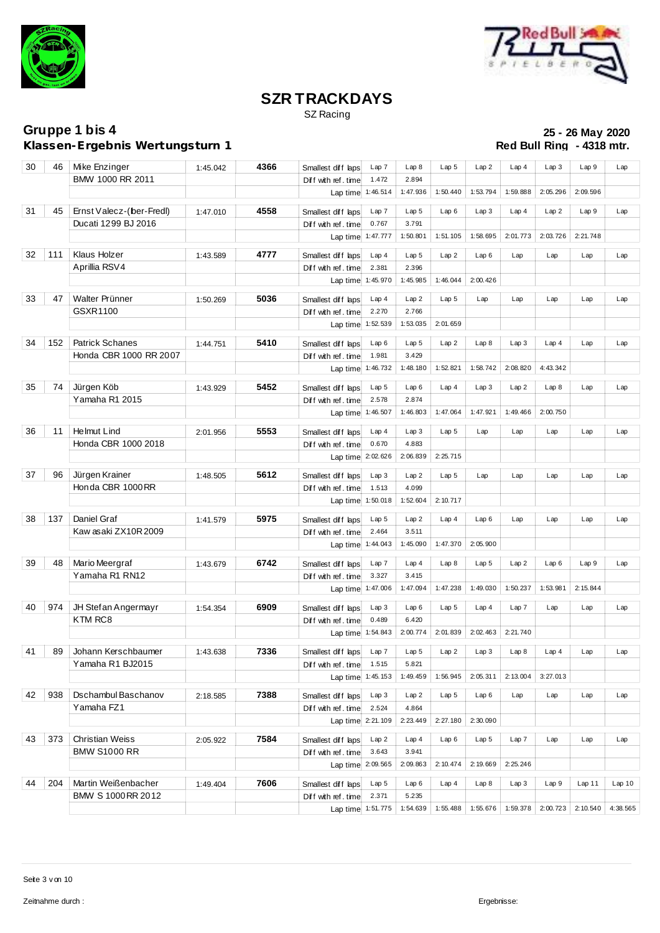



SZ Racing

**Klassen-Ergebnis Wertungsturn 1** 

| 30 | 46  | Mike Enzinger                      | 1:45.042 | 4366 | Smallest diff laps       | Lap 7             | Lap8             | Lap <sub>5</sub> | Lap2             | Lap4     | Lap3     | Lap 9    | Lap      |
|----|-----|------------------------------------|----------|------|--------------------------|-------------------|------------------|------------------|------------------|----------|----------|----------|----------|
|    |     | BMW 1000 RR 2011                   |          |      | Diff with ref. time      | 1.472             | 2.894            |                  |                  |          |          |          |          |
|    |     |                                    |          |      |                          | Lap time 1:46.514 | 1:47.936         | 1:50.440         | 1:53.794         | 1:59.888 | 2:05.296 | 2:09.596 |          |
| 31 | 45  | Ernst Valecz-(ber-Fredl)           |          | 4558 |                          |                   |                  |                  |                  |          |          |          |          |
|    |     |                                    | 1:47.010 |      | Smallest diff laps       | Lap 7             | Lap <sub>5</sub> | Lap6             | Lap3             | Lap4     | Lap2     | Lap9     | Lap      |
|    |     | Ducati 1299 BJ 2016                |          |      | Diff with ref.time       | 0.767             | 3.791            |                  |                  |          |          |          |          |
|    |     |                                    |          |      | Lap time 1:47.777        |                   | 1:50.801         | 1:51.105         | 1:58.695         | 2:01.773 | 2:03.726 | 2:21.748 |          |
| 32 | 111 | Klaus Holzer                       | 1:43.589 | 4777 | Smallest diff laps       | Lap4              | Lap <sub>5</sub> | Lap2             | Lap6             | Lap      | Lap      | Lap      | Lap      |
|    |     | Aprillia RSV4                      |          |      | Diff with ref. time      | 2.381             | 2.396            |                  |                  |          |          |          |          |
|    |     |                                    |          |      | Lap time 1:45.970        |                   | 1:45.985         | 1:46.044         | 2:00.426         |          |          |          |          |
|    |     | Walter Prünner                     |          |      |                          |                   |                  |                  |                  |          |          |          |          |
| 33 | 47  |                                    | 1:50.269 | 5036 | Smallest diff laps       | Lap4              | Lap2             | Lap <sub>5</sub> | Lap              | Lap      | Lap      | Lap      | Lap      |
|    |     | GSXR1100                           |          |      | Diff with ref.time       | 2.270             | 2.766            |                  |                  |          |          |          |          |
|    |     |                                    |          |      |                          | Lap time 1:52.539 | 1:53.035         | 2:01.659         |                  |          |          |          |          |
| 34 | 152 | <b>Patrick Schanes</b>             | 1:44.751 | 5410 | Smallest diff laps       | Lap6              | Lap <sub>5</sub> | Lap2             | Lap8             | Lap3     | Lap4     | Lap      | Lap      |
|    |     | Honda CBR 1000 RR 2007             |          |      | Diff with ref.time       | 1.981             | 3.429            |                  |                  |          |          |          |          |
|    |     |                                    |          |      |                          | Lap time 1:46.732 | 1:48.180         | 1:52.821         | 1:58.742         | 2:08.820 | 4:43.342 |          |          |
|    |     |                                    |          |      |                          |                   |                  |                  |                  |          |          |          |          |
| 35 | 74  | Jürgen Köb                         | 1:43.929 | 5452 | Smallest diff laps       | Lap <sub>5</sub>  | Lap6             | Lap4             | Lap3             | Lap 2    | Lap8     | Lap      | Lap      |
|    |     | Yamaha R1 2015                     |          |      | Diff with ref. time      | 2.578             | 2.874            |                  |                  |          |          |          |          |
|    |     |                                    |          |      | Lap time 1:46.507        |                   | 1:46.803         | 1:47.064         | 1:47.921         | 1:49.466 | 2:00.750 |          |          |
| 36 | 11  | Helmut Lind                        | 2:01.956 | 5553 | Smallest diff laps       | Lap4              | Lap3             | Lap <sub>5</sub> | Lap              | Lap      | Lap      | Lap      | Lap      |
|    |     | Honda CBR 1000 2018                |          |      | Diff with ref. time      | 0.670             | 4.883            |                  |                  |          |          |          |          |
|    |     |                                    |          |      |                          | Lap time 2:02.626 | 2:06.839         | 2:25.715         |                  |          |          |          |          |
|    |     |                                    |          |      |                          |                   |                  |                  |                  |          |          |          |          |
| 37 | 96  | Jürgen Krainer<br>Honda CBR 1000RR | 1:48.505 | 5612 | Smallest diff laps       | Lap 3             | Lap2             | Lap <sub>5</sub> | Lap              | Lap      | Lap      | Lap      | Lap      |
|    |     |                                    |          |      | Diff with ref. time      | 1.513             | 4.099            |                  |                  |          |          |          |          |
|    |     |                                    |          |      |                          | Lap time 1:50.018 | 1:52.604         | 2:10.717         |                  |          |          |          |          |
| 38 | 137 | Daniel Graf                        | 1:41.579 | 5975 | Smallest diff laps       | Lap <sub>5</sub>  | Lap2             | Lap4             | Lap6             | Lap      | Lap      | Lap      | Lap      |
|    |     | Kaw asaki ZX10R 2009               |          |      | Diff with ref. time      | 2.464             | 3.511            |                  |                  |          |          |          |          |
|    |     |                                    |          |      |                          | Lap time 1:44.043 | 1:45.090         | 1:47.370         | 2:05.900         |          |          |          |          |
| 39 |     |                                    |          |      |                          |                   |                  |                  |                  |          |          |          |          |
|    | 48  | Mario Meergraf<br>Yamaha R1 RN12   | 1:43.679 | 6742 | Smallest diff laps       | Lap 7             | Lap4             | Lap8             | Lap <sub>5</sub> | Lap2     | Lap6     | Lap9     | Lap      |
|    |     |                                    |          |      | Diff with ref. time      | 3.327             | 3.415            |                  |                  |          |          |          |          |
|    |     |                                    |          |      |                          | Lap time 1:47.006 | 1:47.094         | 1:47.238         | 1:49.030         | 1:50.237 | 1:53.981 | 2:15.844 |          |
| 40 | 974 | JH Stefan Angermayr                | 1:54.354 | 6909 | Smallest diff laps       | Lap3              | Lap6             | Lap <sub>5</sub> | Lap4             | Lap7     | Lap      | Lap      | Lap      |
|    |     | KTM RC8                            |          |      | Diff with ref. time      | 0.489             | 6.420            |                  |                  |          |          |          |          |
|    |     |                                    |          |      |                          | Lap time 1:54.843 | 2:00.774         | 2:01.839         | 2:02.463         | 2:21.740 |          |          |          |
| 41 | 89  | Johann Kerschbaumer                | 1:43.638 | 7336 | Smallest diff laps Lap 7 |                   | Lap <sub>5</sub> | Lap2             | Lap3             | Lap8     | Lap4     | Lap      | Lap      |
|    |     | Yamaha R1 BJ2015                   |          |      |                          | 1.515             | 5.821            |                  |                  |          |          |          |          |
|    |     |                                    |          |      | Diff with ref. time      | 1:45.153          | 1:49.459         | 1:56.945         | 2:05.311         | 2:13.004 | 3:27.013 |          |          |
|    |     |                                    |          |      | Lap time                 |                   |                  |                  |                  |          |          |          |          |
| 42 | 938 | Dschambul Baschanov                | 2:18.585 | 7388 | Smallest diff laps       | Lap3              | Lap2             | Lap <sub>5</sub> | Lap6             | Lap      | Lap      | Lap      | Lap      |
|    |     | Yamaha FZ1                         |          |      | Diff with ref.time       | 2.524             | 4.864            |                  |                  |          |          |          |          |
|    |     |                                    |          |      |                          | Lap time 2:21.109 | 2:23.449         | 2:27.180         | 2:30.090         |          |          |          |          |
| 43 | 373 | <b>Christian Weiss</b>             |          | 7584 |                          |                   | Lap4             |                  |                  |          |          |          |          |
|    |     | <b>BMW S1000 RR</b>                | 2:05.922 |      | Smallest diff laps       | Lap2              | 3.941            | Lap6             | Lap <sub>5</sub> | Lap7     | Lap      | Lap      | Lap      |
|    |     |                                    |          |      | Diff with ref. time      | 3.643             | 2:09.863         | 2:10.474         | 2:19.669         | 2:25.246 |          |          |          |
|    |     |                                    |          |      |                          | Lap time 2:09.565 |                  |                  |                  |          |          |          |          |
| 44 | 204 | Martin Weißenbacher                | 1:49.404 | 7606 | Smallest diff laps       | Lap <sub>5</sub>  | Lap6             | Lap4             | Lap8             | Lap3     | Lap9     | Lap11    | Lap10    |
|    |     | BMW S 1000 RR 2012                 |          |      | Diff with ref.time       | 2.371             | 5.235            |                  |                  |          |          |          |          |
|    |     |                                    |          |      | Lap time 1:51.775        |                   | 1:54.639         | 1:55.488         | 1:55.676         | 1:59.378 | 2:00.723 | 2:10.540 | 4:38.565 |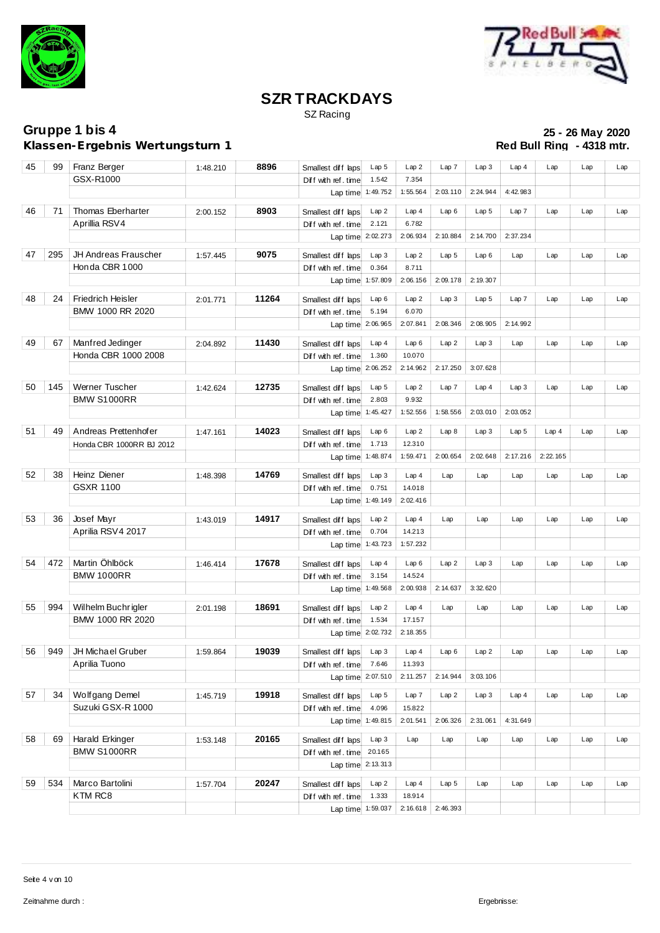



SZ Racing

**Klassen-Ergebnis Wertungsturn 1** 

| 45 | 99  | Franz Berger             | 1:48.210 | 8896  | Smallest diff laps       | Lap <sub>5</sub> | Lap2     | Lap 7            | Lap3             | Lap4             | Lap      | Lap | Lap |
|----|-----|--------------------------|----------|-------|--------------------------|------------------|----------|------------------|------------------|------------------|----------|-----|-----|
|    |     | GSX-R1000                |          |       | Diff with ref. time      | 1.542            | 7.354    |                  |                  |                  |          |     |     |
|    |     |                          |          |       | Lap time 1:49.752        |                  | 1:55.564 | 2:03.110         | 2:24.944         | 4:42.983         |          |     |     |
|    |     |                          |          |       |                          |                  |          |                  |                  |                  |          |     |     |
| 46 | 71  | Thomas Eberharter        | 2:00.152 | 8903  | Smallest diff laps       | Lap 2            | Lap4     | Lap6             | Lap <sub>5</sub> | Lap7             | Lap      | Lap | Lap |
|    |     | Aprillia RSV4            |          |       | Diff with ref.time       | 2.121            | 6.782    |                  |                  |                  |          |     |     |
|    |     |                          |          |       | Lap time 2:02.273        |                  | 2:06.934 | 2:10.884         | 2:14.700         | 2:37.234         |          |     |     |
|    |     |                          |          |       |                          |                  |          |                  |                  |                  |          |     |     |
| 47 | 295 | JH Andreas Frauscher     | 1:57.445 | 9075  | Smallest diff laps       | Lap3             | Lap2     | Lap <sub>5</sub> | Lap6             | Lap              | Lap      | Lap | Lap |
|    |     | Honda CBR 1000           |          |       | Diff with ref. time      | 0.364            | 8.711    |                  |                  |                  |          |     |     |
|    |     |                          |          |       | Lap time 1:57.809        |                  | 2:06.156 | 2:09.178         | 2:19.307         |                  |          |     |     |
| 48 | 24  | Friedrich Heisler        | 2:01.771 | 11264 | Smallest diff laps       | Lap6             | Lap2     | Lap3             | Lap <sub>5</sub> | Lap 7            | Lap      | Lap | Lap |
|    |     | BMW 1000 RR 2020         |          |       | Diff with ref.time       | 5.194            | 6.070    |                  |                  |                  |          |     |     |
|    |     |                          |          |       | Lap time 2:06.965        |                  | 2:07.841 | 2:08.346         | 2:08.905         | 2:14.992         |          |     |     |
|    |     |                          |          |       |                          |                  |          |                  |                  |                  |          |     |     |
| 49 | 67  | Manfred Jedinger         | 2:04.892 | 11430 | Smallest diff laps       | Lap4             | Lap6     | Lap2             | Lap3             | Lap              | Lap      | Lap | Lap |
|    |     | Honda CBR 1000 2008      |          |       | Diff with ref. time      | 1.360            | 10.070   |                  |                  |                  |          |     |     |
|    |     |                          |          |       | Lap time 2:06.252        |                  | 2:14.962 | 2:17.250         | 3:07.628         |                  |          |     |     |
|    |     |                          |          |       |                          |                  |          |                  |                  |                  |          |     |     |
| 50 | 145 | Werner Tuscher           | 1:42.624 | 12735 | Smallest diff laps       | Lap <sub>5</sub> | Lap2     | Lap 7            | Lap4             | Lap3             | Lap      | Lap | Lap |
|    |     | <b>BMW S1000RR</b>       |          |       | Diff with ref. time      | 2.803            | 9.932    |                  |                  |                  |          |     |     |
|    |     |                          |          |       | Lap time                 | 1:45.427         | 1:52.556 | 1:58.556         | 2:03.010         | 2:03.052         |          |     |     |
| 51 | 49  | Andreas Prettenhofer     |          | 14023 |                          | Lap6             | Lap2     | Lap8             | Lap3             | Lap <sub>5</sub> | Lap4     | Lap | Lap |
|    |     |                          | 1:47.161 |       | Smallest diff laps       |                  |          |                  |                  |                  |          |     |     |
|    |     | Honda CBR 1000RR BJ 2012 |          |       | Diff with ref. time      | 1.713            | 12.310   |                  |                  |                  |          |     |     |
|    |     |                          |          |       | Lap time 1:48.874        |                  | 1:59.471 | 2:00.654         | 2:02.648         | 2:17.216         | 2:22.165 |     |     |
| 52 | 38  | Heinz Diener             | 1:48.398 | 14769 | Smallest diff laps       | Lap 3            | Lap4     | Lap              | Lap              | Lap              | Lap      | Lap | Lap |
|    |     | <b>GSXR 1100</b>         |          |       | Diff with ref. time      | 0.751            | 14.018   |                  |                  |                  |          |     |     |
|    |     |                          |          |       | Lap time 1:49.149        |                  | 2:02.416 |                  |                  |                  |          |     |     |
|    |     |                          |          |       |                          |                  |          |                  |                  |                  |          |     |     |
| 53 | 36  | Josef Mayr               | 1:43.019 | 14917 | Smallest diff laps       | Lap 2            | Lap4     | Lap              | Lap              | Lap              | Lap      | Lap | Lap |
|    |     | Aprilia RSV4 2017        |          |       | Diff with ref. time      | 0.704            | 14.213   |                  |                  |                  |          |     |     |
|    |     |                          |          |       | Lap time 1:43.723        |                  | 1:57.232 |                  |                  |                  |          |     |     |
|    |     |                          |          |       |                          |                  |          |                  |                  |                  |          |     |     |
| 54 | 472 | Martin Öhlböck           | 1:46.414 | 17678 | Smallest diff laps       | Lap4             | Lap6     | Lap2             | Lap3             | Lap              | Lap      | Lap | Lap |
|    |     | <b>BMW 1000RR</b>        |          |       | Diff with ref.time       | 3.154            | 14.524   |                  |                  |                  |          |     |     |
|    |     |                          |          |       | Lap time 1:49.568        |                  | 2:00.938 | 2:14.637         | 3:32.620         |                  |          |     |     |
|    |     |                          |          |       |                          |                  |          |                  |                  |                  |          |     |     |
| 55 | 994 | Wilhelm Buchrigler       | 2:01.198 | 18691 | Smallest diff laps       | Lap 2            | Lap4     | Lap              | Lap              | Lap              | Lap      | Lap | Lap |
|    |     | BMW 1000 RR 2020         |          |       | Diff with ref. time      | 1.534            | 17.157   |                  |                  |                  |          |     |     |
|    |     |                          |          |       | Lap time 2:02.732        |                  | 2:18.355 |                  |                  |                  |          |     |     |
| 56 | 949 | JH Michael Gruber        | 1:59.864 | 19039 | Smallest diff laps Lap 3 |                  | Lap4     | Lap6             | Lap2             | Lap              | Lap      | Lap | Lap |
|    |     | Aprilia Tuono            |          |       | Diff with ref. time      | 7.646            | 11.393   |                  |                  |                  |          |     |     |
|    |     |                          |          |       | Lap time 2:07.510        |                  | 2:11.257 | 2:14.944         | 3:03.106         |                  |          |     |     |
|    |     |                          |          |       |                          |                  |          |                  |                  |                  |          |     |     |
| 57 | 34  | Wolfgang Demel           | 1:45.719 | 19918 | Smallest diff laps       | Lap <sub>5</sub> | Lap 7    | Lap2             | Lap3             | Lap4             | Lap      | Lap | Lap |
|    |     | Suzuki GSX-R 1000        |          |       | Diff with ref. time      | 4.096            | 15.822   |                  |                  |                  |          |     |     |
|    |     |                          |          |       | Lap time 1:49.815        |                  | 2:01.541 | 2:06.326         | 2:31.061         | 4:31.649         |          |     |     |
|    |     |                          |          |       |                          |                  |          |                  |                  |                  |          |     |     |
| 58 | 69  | Harald Erkinger          | 1:53.148 | 20165 | Smallest diff laps       | Lap3             | Lap      | Lap              | Lap              | Lap              | Lap      | Lap | Lap |
|    |     | <b>BMW S1000RR</b>       |          |       | Diff with ref. time      | 20.165           |          |                  |                  |                  |          |     |     |
|    |     |                          |          |       | Lap time 2:13.313        |                  |          |                  |                  |                  |          |     |     |
| 59 | 534 | Marco Bartolini          |          | 20247 |                          |                  |          |                  |                  |                  |          |     |     |
|    |     |                          | 1:57.704 |       | Smallest diff laps       | Lap2             | Lap4     | Lap <sub>5</sub> | Lap              | Lap              | Lap      | Lap | Lap |
|    |     | KTM RC8                  |          |       | Diff with ref. time      | 1.333            | 18.914   |                  |                  |                  |          |     |     |
|    |     |                          |          |       | Lap time 1:59.037        |                  | 2:16.618 | 2:46.393         |                  |                  |          |     |     |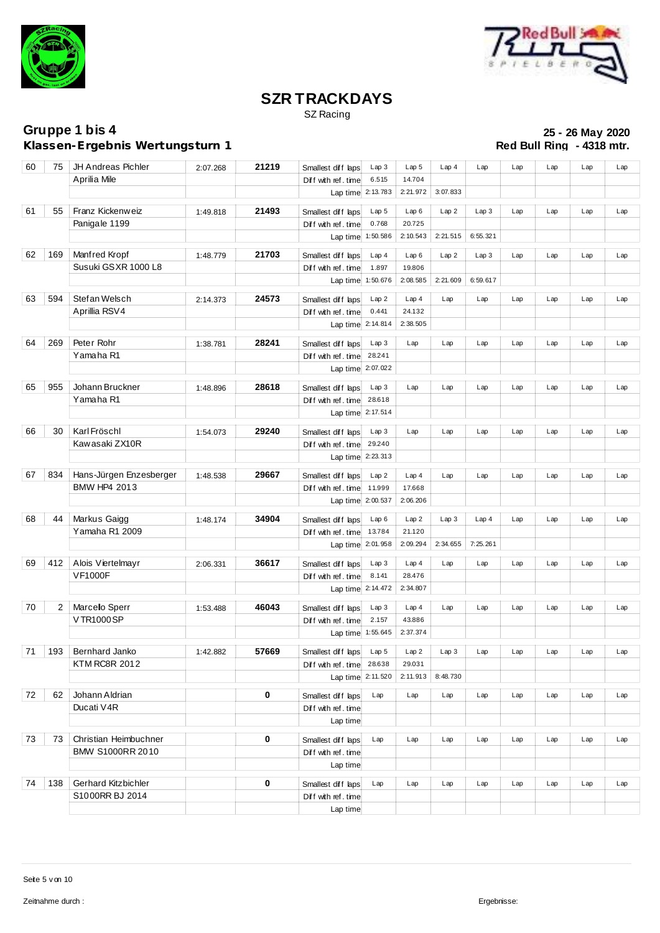



SZ Racing

**Klassen-Ergebnis Wertungsturn 1** 

| 60     | 75  | JH Andreas Pichler      | 2:07.268 | 21219 | Smallest diff laps                       | Lap3              | Lap <sub>5</sub> | Lap4     | Lap      | Lap | Lap | Lap | Lap |
|--------|-----|-------------------------|----------|-------|------------------------------------------|-------------------|------------------|----------|----------|-----|-----|-----|-----|
|        |     | Aprilia Mile            |          |       | Diff with ref. time                      | 6.515             | 14.704           |          |          |     |     |     |     |
|        |     |                         |          |       | Lap time 2:13.783                        |                   | 2:21.972         | 3:07.833 |          |     |     |     |     |
| 61     | 55  | Franz Kickenweiz        |          | 21493 |                                          | Lap <sub>5</sub>  | Lap6             | Lap2     | Lap3     | Lap | Lap | Lap | Lap |
|        |     | Panigale 1199           | 1:49.818 |       | Smallest diff laps                       | 0.768             | 20.725           |          |          |     |     |     |     |
|        |     |                         |          |       | Diff with ref. time<br>Lap time 1:50.586 |                   | 2:10.543         | 2:21.515 | 6:55.321 |     |     |     |     |
|        |     |                         |          |       |                                          |                   |                  |          |          |     |     |     |     |
| 62     | 169 | Manfred Kropf           | 1:48.779 | 21703 | Smallest diff laps                       | Lap4              | Lap6             | Lap2     | Lap3     | Lap | Lap | Lap | Lap |
|        |     | Susuki GSXR 1000 L8     |          |       | Diff with ref. time                      | 1.897             | 19.806           |          |          |     |     |     |     |
|        |     |                         |          |       | Lap time 1:50.676                        |                   | 2:08.585         | 2:21.609 | 6:59.617 |     |     |     |     |
| 63     | 594 | Stefan Welsch           | 2:14.373 | 24573 | Smallest diff laps                       | Lap2              | Lap4             | Lap      | Lap      | Lap | Lap | Lap | Lap |
|        |     | Aprillia RSV4           |          |       | Diff with ref. time                      | 0.441             | 24.132           |          |          |     |     |     |     |
|        |     |                         |          |       | Lap time 2:14.814                        |                   | 2:38.505         |          |          |     |     |     |     |
|        |     |                         |          |       |                                          |                   |                  |          |          |     |     |     |     |
| 64     | 269 | Peter Rohr              | 1:38.781 | 28241 | Smallest diff laps                       | Lap3              | Lap              | Lap      | Lap      | Lap | Lap | Lap | Lap |
|        |     | Yamaha R1               |          |       | Diff with ref. time                      | 28.241            |                  |          |          |     |     |     |     |
|        |     |                         |          |       | Lap time 2:07.022                        |                   |                  |          |          |     |     |     |     |
| 65     | 955 | Johann Bruckner         | 1:48.896 | 28618 | Smallest diff laps                       | Lap 3             | Lap              | Lap      | Lap      | Lap | Lap | Lap | Lap |
|        |     | Yamaha R1               |          |       | Diff with ref. time                      | 28.618            |                  |          |          |     |     |     |     |
|        |     |                         |          |       | Lap time 2:17.514                        |                   |                  |          |          |     |     |     |     |
|        |     |                         |          |       |                                          |                   |                  |          |          |     |     |     |     |
| 66     | 30  | Karl Fröschl            | 1:54.073 | 29240 | Smallest diff laps                       | Lap3              | Lap              | Lap      | Lap      | Lap | Lap | Lap | Lap |
|        |     | Kawasaki ZX10R          |          |       | Diff with ref. time                      | 29.240            |                  |          |          |     |     |     |     |
|        |     |                         |          |       | Lap time 2:23.313                        |                   |                  |          |          |     |     |     |     |
| 67     | 834 | Hans-Jürgen Enzesberger | 1:48.538 | 29667 | Smallest diff laps                       | Lap2              | Lap4             | Lap      | Lap      | Lap | Lap | Lap | Lap |
|        |     | BMW HP4 2013            |          |       | Diff with ref. time                      | 11.999            | 17.668           |          |          |     |     |     |     |
|        |     |                         |          |       | Lap time 2:00.537                        |                   | 2:06.206         |          |          |     |     |     |     |
| 68     | 44  | Markus Gaigg            |          | 34904 |                                          |                   |                  |          |          |     |     |     |     |
|        |     | Yamaha R1 2009          | 1:48.174 |       | Smallest diff laps                       | Lap6<br>13.784    | Lap2<br>21.120   | Lap3     | Lap4     | Lap | Lap | Lap | Lap |
|        |     |                         |          |       | Diff with ref. time                      |                   | 2:09.294         | 2:34.655 | 7:25.261 |     |     |     |     |
|        |     |                         |          |       | Lap time 2:01.958                        |                   |                  |          |          |     |     |     |     |
| 69     | 412 | Alois Viertelmayr       | 2:06.331 | 36617 | Smallest diff laps                       | Lap3              | Lap4             | Lap      | Lap      | Lap | Lap | Lap | Lap |
|        |     | <b>VF1000F</b>          |          |       | Diff with ref. time                      | 8.141             | 28.476           |          |          |     |     |     |     |
|        |     |                         |          |       | Lap time 2:14.472                        |                   | 2:34.807         |          |          |     |     |     |     |
| $70\,$ | 2   | Marcello Sperr          | 1:53.488 | 46043 | Smallest diff laps                       | Lap3              | Lap4             | Lap      | Lap      | Lap | Lap | Lap | Lap |
|        |     | VTR1000SP               |          |       | Diff with ref. time                      | 2.157             | 43.886           |          |          |     |     |     |     |
|        |     |                         |          |       | Lap time 1:55.645                        |                   | 2:37.374         |          |          |     |     |     |     |
|        |     |                         |          |       |                                          |                   |                  |          |          |     |     |     |     |
| 71     | 193 | Bernhard Janko          | 1:42.882 | 57669 | Smallest diff laps Lap 5                 |                   | Lap2             | Lap3     | Lap      | Lap | Lap | Lap | Lap |
|        |     | <b>KTM RC8R 2012</b>    |          |       | Diff with ref. time                      | 28.638            | 29.031           |          |          |     |     |     |     |
|        |     |                         |          |       |                                          | Lap time 2:11.520 | 2:11.913         | 8:48.730 |          |     |     |     |     |
| 72     | 62  | Johann Aldrian          |          | 0     | Smallest diff laps                       | Lap               | Lap              | Lap      | Lap      | Lap | Lap | Lap | Lap |
|        |     | Ducati V4R              |          |       | Diff with ref. time                      |                   |                  |          |          |     |     |     |     |
|        |     |                         |          |       | Lap time                                 |                   |                  |          |          |     |     |     |     |
|        |     |                         |          |       |                                          |                   |                  |          |          |     |     |     |     |
| 73     | 73  | Christian Heimbuchner   |          | 0     | Smallest diff laps                       | Lap               | Lap              | Lap      | Lap      | Lap | Lap | Lap | Lap |
|        |     | BMW S1000RR 2010        |          |       | Diff with ref. time                      |                   |                  |          |          |     |     |     |     |
|        |     |                         |          |       | Lap time                                 |                   |                  |          |          |     |     |     |     |
| 74     | 138 | Gerhard Kitzbichler     |          | 0     | Smallest diff laps                       | Lap               | Lap              | Lap      | Lap      | Lap | Lap | Lap | Lap |
|        |     | S1000RR BJ 2014         |          |       | Diff with ref. time                      |                   |                  |          |          |     |     |     |     |
|        |     |                         |          |       | Lap time                                 |                   |                  |          |          |     |     |     |     |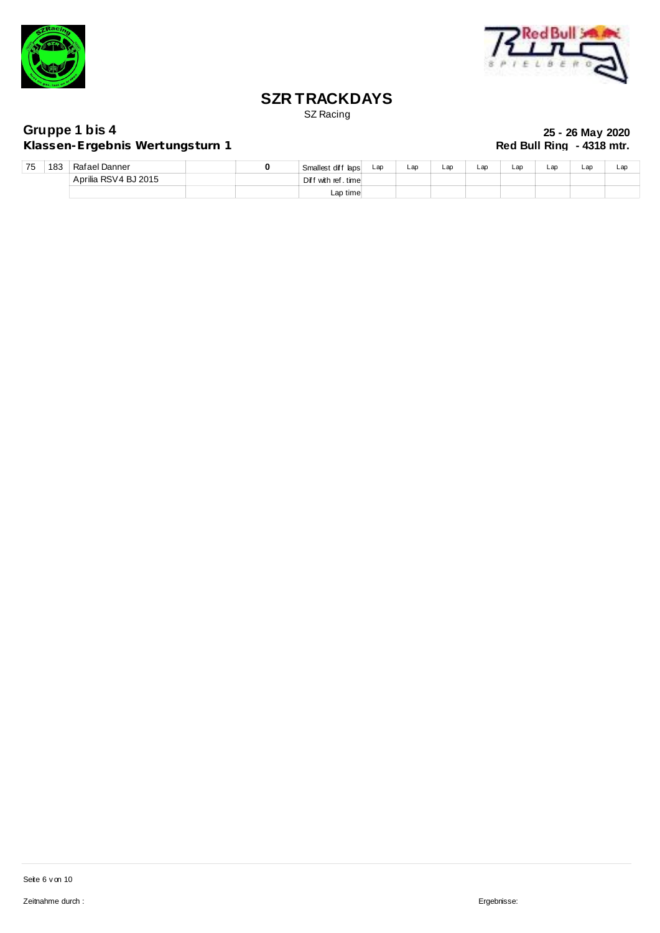



SZ Racing

**Klassen-Ergebnis Wertungsturn 1** 

| 75 | 183 | Rafael Danner        |  | Smallest diff laps  | Lap | $\mathsf{L}$ ap | Lap | Lap | Lap | Lap | Lap | Lap |
|----|-----|----------------------|--|---------------------|-----|-----------------|-----|-----|-----|-----|-----|-----|
|    |     | Aprilia RSV4 BJ 2015 |  | Diff with ref.timel |     |                 |     |     |     |     |     |     |
|    |     |                      |  | Lap timel           |     |                 |     |     |     |     |     |     |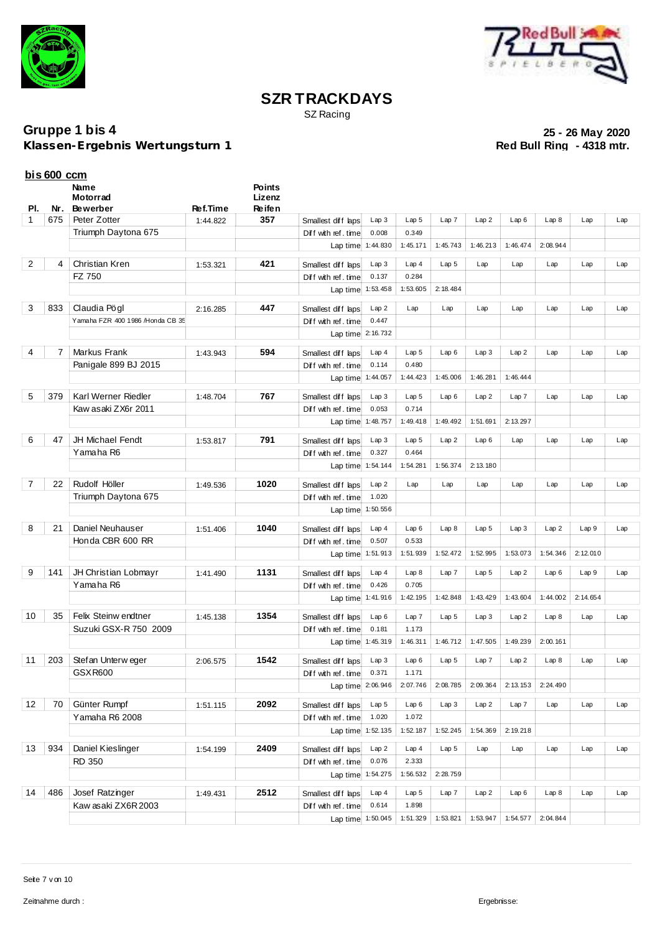



SZ Racing

**Klassen-Ergebnis Wertungsturn 1** 

|     | $bis 600$ ccm      |                                  |                 |                  |                          |                   |                  |                  |                  |          |          |          |     |
|-----|--------------------|----------------------------------|-----------------|------------------|--------------------------|-------------------|------------------|------------------|------------------|----------|----------|----------|-----|
|     |                    | Name<br>Motorrad                 |                 | Points<br>Lizenz |                          |                   |                  |                  |                  |          |          |          |     |
| PI. | Nr.                | <b>Bewerber</b>                  | <b>Ref.Time</b> | Re ife n         |                          |                   |                  |                  |                  |          |          |          |     |
| 1   | 675                | Peter Zotter                     | 1:44.822        | 357              | Smallest diff laps       | Lap3              | Lap <sub>5</sub> | Lap7             | Lap2             | Lap6     | Lap8     | Lap      | Lap |
|     |                    | Triumph Daytona 675              |                 |                  | Diff with ref. time      | 0.008             | 0.349            |                  |                  |          |          |          |     |
|     |                    |                                  |                 |                  |                          | Lap time 1:44.830 | 1:45.171         | 1:45.743         | 1:46.213         | 1:46.474 | 2:08.944 |          |     |
| 2   | 4                  | Christian Kren                   | 1:53.321        | 421              | Smallest diff laps       | Lap3              | Lap4             | Lap <sub>5</sub> | Lap              | Lap      | Lap      | Lap      | Lap |
|     |                    | FZ 750                           |                 |                  | Diff with ref. time      | 0.137             | 0.284            |                  |                  |          |          |          |     |
|     |                    |                                  |                 |                  |                          | Lap time 1:53.458 | 1:53.605         | 2:18.484         |                  |          |          |          |     |
|     |                    |                                  |                 |                  |                          |                   |                  |                  |                  |          |          |          |     |
| 3   | 833                | Claudia Pögl                     | 2:16.285        | 447              | Smallest diff laps       | Lap2              | Lap              | Lap              | Lap              | Lap      | Lap      | Lap      | Lap |
|     |                    | Yamaha FZR 400 1986 /Honda CB 35 |                 |                  | Diff with ref. time      | 0.447             |                  |                  |                  |          |          |          |     |
|     |                    |                                  |                 |                  |                          | Lap time 2:16.732 |                  |                  |                  |          |          |          |     |
| 4   | 7                  | Markus Frank                     | 1:43.943        | 594              | Smallest diff laps       | Lap4              | Lap <sub>5</sub> | Lap6             | Lap3             | Lap2     | Lap      | Lap      | Lap |
|     |                    | Panigale 899 BJ 2015             |                 |                  | Diff with ref. time      | 0.114             | 0.480            |                  |                  |          |          |          |     |
|     |                    |                                  |                 |                  |                          | Lap time 1:44.057 | 1:44.423         | 1:45.006         | 1:46.281         | 1:46.444 |          |          |     |
| 5   | 379                | Karl Werner Riedler              | 1:48.704        | 767              | Smallest diff laps       | Lap3              | Lap <sub>5</sub> | Lap6             | Lap2             | Lap7     | Lap      | Lap      | Lap |
|     |                    | Kaw asaki ZX6r 2011              |                 |                  | Diff with ref. time      | 0.053             | 0.714            |                  |                  |          |          |          |     |
|     |                    |                                  |                 |                  |                          | Lap time 1:48.757 | 1:49.418         | 1:49.492         | 1:51.691         | 2:13.297 |          |          |     |
|     |                    |                                  |                 |                  |                          |                   |                  |                  |                  |          |          |          |     |
| 6   | 47                 | <b>JH Michael Fendt</b>          | 1:53.817        | 791              | Smallest diff laps       | Lap3              | Lap <sub>5</sub> | Lap2             | Lap6             | Lap      | Lap      | Lap      | Lap |
|     |                    | Yamaha R6                        |                 |                  | Diff with ref. time      | 0.327             | 0.464            |                  | 2:13.180         |          |          |          |     |
|     |                    |                                  |                 |                  |                          | Lap time 1:54.144 | 1:54.281         | 1:56.374         |                  |          |          |          |     |
| 7   | 22                 | Rudolf Höller                    | 1:49.536        | 1020             | Smallest diff laps       | Lap2              | Lap              | Lap              | Lap              | Lap      | Lap      | Lap      | Lap |
|     |                    | Triumph Daytona 675              |                 |                  | Diff with ref. time      | 1.020             |                  |                  |                  |          |          |          |     |
|     |                    |                                  |                 |                  |                          | Lap time 1:50.556 |                  |                  |                  |          |          |          |     |
| 8   | 21                 | Daniel Neuhauser                 | 1:51.406        | 1040             | Smallest diff laps       | Lap4              | Lap6             | Lap8             | Lap <sub>5</sub> | Lap3     | Lap2     | Lap 9    | Lap |
|     |                    | Honda CBR 600 RR                 |                 |                  | Diff with ref. time      | 0.507             | 0.533            |                  |                  |          |          |          |     |
|     |                    |                                  |                 |                  |                          | Lap time 1:51.913 | 1:51.939         | 1:52.472         | 1:52.995         | 1:53.073 | 1:54.346 | 2:12.010 |     |
|     |                    |                                  |                 |                  |                          |                   |                  |                  |                  |          |          |          |     |
| 9   | 141                | JH Christian Lobmayr             | 1:41.490        | 1131             | Smallest diff laps       | Lap4              | Lap 8            | Lap7             | Lap <sub>5</sub> | Lap2     | Lap6     | Lap9     | Lap |
|     |                    | Yamaha R6                        |                 |                  | Diff with ref. time      | 0.426             | 0.705            |                  |                  |          |          |          |     |
|     |                    |                                  |                 |                  |                          | Lap time 1:41.916 | 1:42.195         | 1:42.848         | 1:43.429         | 1:43.604 | 1:44.002 | 2:14.654 |     |
| 10  | 35                 | Felix Steinw endtner             | 1:45.138        | 1354             | Smallest diff laps       | Lap6              | Lap 7            | Lap <sub>5</sub> | Lap3             | Lap2     | Lap8     | Lap      | Lap |
|     |                    | Suzuki GSX-R 750 2009            |                 |                  | Diff with ref. time      | 0.181             | 1.173            |                  |                  |          |          |          |     |
|     |                    |                                  |                 |                  |                          | Lap time 1:45.319 | 1:46.311         | 1:46.712         | 1:47.505         | 1:49.239 | 2:00.161 |          |     |
|     | $11 \mid 203 \mid$ | Stef an Unterw eger              | 2:06.575        | 1542             | Smallest diff laps Lap 3 |                   | Lap 6            | Lap <sub>5</sub> | $Lap$ 7          | Lap2     | Lap 8    | Lap      | Lap |
|     |                    | GSXR600                          |                 |                  | Diff with ref. time      | 0.371             | 1.171            |                  |                  |          |          |          |     |
|     |                    |                                  |                 |                  |                          | Lap time 2:06.946 | 2:07.746         | 2:08.785         | 2:09.364         | 2:13.153 | 2:24.490 |          |     |
|     |                    |                                  |                 |                  |                          |                   |                  |                  |                  |          |          |          |     |
| 12  | 70                 | Günter Rumpf                     | 1:51.115        | 2092             | Smallest diff laps       | Lap <sub>5</sub>  | Lap6             | Lap 3            | Lap2             | Lap 7    | Lap      | Lap      | Lap |
|     |                    | Yamaha R6 2008                   |                 |                  | Diff with ref. time      | 1.020             | 1.072            |                  |                  |          |          |          |     |
|     |                    |                                  |                 |                  |                          | Lap time 1:52.135 | 1:52.187         | 1:52.245         | 1:54.369         | 2:19.218 |          |          |     |
| 13  | 934                | Daniel Kieslinger                | 1:54.199        | 2409             | Smallest diff laps       | Lap2              | Lap4             | Lap <sub>5</sub> | Lap              | Lap      | Lap      | Lap      | Lap |
|     |                    | <b>RD 350</b>                    |                 |                  | Diff with ref. time      | 0.076             | 2.333            |                  |                  |          |          |          |     |
|     |                    |                                  |                 |                  |                          | Lap time 1:54.275 | 1:56.532         | 2:28.759         |                  |          |          |          |     |
| 14  | 486                | Josef Ratzinger                  | 1:49.431        | 2512             | Smallest diff laps       | Lap4              | Lap 5            | Lap 7            | Lap2             | Lap6     | Lap8     | Lap      | Lap |
|     |                    | Kaw asaki ZX6R 2003              |                 |                  | Diff with ref. time      | 0.614             | 1.898            |                  |                  |          |          |          |     |
|     |                    |                                  |                 |                  |                          | Lap time 1:50.045 | 1:51.329         | 1:53.821         | 1:53.947         | 1:54.577 | 2:04.844 |          |     |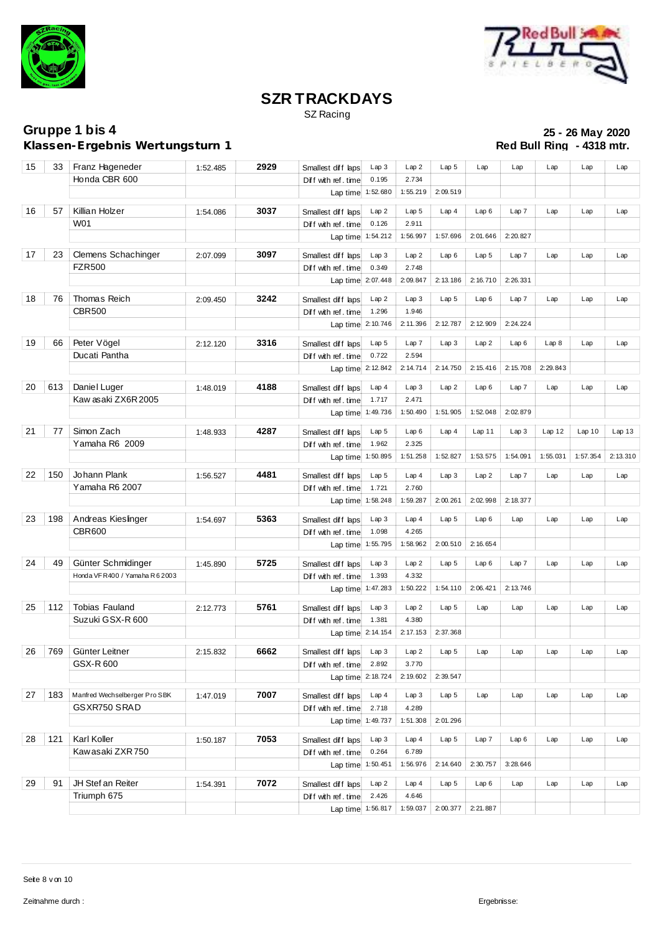



SZ Racing

**Klassen-Ergebnis Wertungsturn 1** 

| 15 | 33  | Franz Hageneder                | 1:52.485 | 2929 | Smallest diff laps       | Lap3             | Lap2             | Lap <sub>5</sub> | Lap              | Lap      | Lap      | Lap      | Lap      |
|----|-----|--------------------------------|----------|------|--------------------------|------------------|------------------|------------------|------------------|----------|----------|----------|----------|
|    |     | Honda CBR 600                  |          |      | Diff with ref. time      | 0.195            | 2.734            |                  |                  |          |          |          |          |
|    |     |                                |          |      | Lap time 1:52.680        |                  | 1:55.219         | 2:09.519         |                  |          |          |          |          |
| 16 | 57  | Killian Holzer                 | 1:54.086 | 3037 | Smallest diff laps       | Lap2             | Lap <sub>5</sub> | Lap4             | Lap6             | Lap7     | Lap      | Lap      | Lap      |
|    |     | W01                            |          |      | Diff with ref. time      | 0.126            | 2.911            |                  |                  |          |          |          |          |
|    |     |                                |          |      | Lap time 1:54.212        |                  | 1:56.997         | 1:57.696         | 2:01.646         | 2:20.827 |          |          |          |
|    |     |                                |          |      |                          |                  |                  |                  |                  |          |          |          |          |
| 17 | 23  | Clemens Schachinger            | 2:07.099 | 3097 | Smallest diff laps       | Lap3             | Lap2             | Lap6             | Lap <sub>5</sub> | Lap 7    | Lap      | Lap      | Lap      |
|    |     | <b>FZR500</b>                  |          |      | Diff with ref. time      | 0.349            | 2.748            |                  |                  |          |          |          |          |
|    |     |                                |          |      | Lap time 2:07.448        |                  | 2:09.847         | 2:13.186         | 2:16.710         | 2:26.331 |          |          |          |
| 18 | 76  | Thomas Reich                   | 2:09.450 | 3242 | Smallest diff laps       | Lap2             | Lap3             | Lap <sub>5</sub> | Lap6             | Lap7     | Lap      | Lap      | Lap      |
|    |     | <b>CBR500</b>                  |          |      | Diff with ref.time       | 1.296            | 1.946            |                  |                  |          |          |          |          |
|    |     |                                |          |      | Lap time 2:10.746        |                  | 2:11.396         | 2:12.787         | 2:12.909         | 2:24.224 |          |          |          |
|    |     |                                |          |      |                          |                  |                  |                  |                  |          |          |          |          |
| 19 | 66  | Peter Vögel                    | 2:12.120 | 3316 | Smallest diff laps       | Lap <sub>5</sub> | Lap7             | Lap3             | Lap2             | Lap6     | Lap 8    | Lap      | Lap      |
|    |     | Ducati Pantha                  |          |      | Diff with ref.time       | 0.722            | 2.594            |                  |                  |          |          |          |          |
|    |     |                                |          |      | Lap time 2:12.842        |                  | 2:14.714         | 2:14.750         | 2:15.416         | 2:15.708 | 2:29.843 |          |          |
| 20 | 613 | Daniel Luger                   | 1:48.019 | 4188 | Smallest diff laps       | Lap4             | Lap 3            | Lap2             | Lap6             | Lap 7    | Lap      | Lap      | Lap      |
|    |     | Kaw asaki ZX6R 2005            |          |      | Diff with ref. time      | 1.717            | 2.471            |                  |                  |          |          |          |          |
|    |     |                                |          |      | Lap time 1:49.736        |                  | 1:50.490         | 1:51.905         | 1:52.048         | 2:02.879 |          |          |          |
|    |     |                                |          |      |                          |                  |                  |                  |                  |          |          |          |          |
| 21 | 77  | Simon Zach                     | 1:48.933 | 4287 | Smallest diff laps       | Lap <sub>5</sub> | Lap6             | Lap4             | Lap11            | Lap3     | Lap12    | Lap10    | Lap13    |
|    |     | Yamaha R6 2009                 |          |      | Diff with ref.time       | 1.962            | 2.325            |                  |                  |          |          |          |          |
|    |     |                                |          |      | Lap time 1:50.895        |                  | 1:51.258         | 1:52.827         | 1:53.575         | 1:54.091 | 1:55.031 | 1:57.354 | 2:13.310 |
| 22 | 150 | Johann Plank                   | 1:56.527 | 4481 | Smallest diff laps       | Lap <sub>5</sub> | Lap4             | Lap3             | Lap2             | Lap7     | Lap      | Lap      | Lap      |
|    |     | Yamaha R6 2007                 |          |      | Diff with ref. time      | 1.721            | 2.760            |                  |                  |          |          |          |          |
|    |     |                                |          |      | Lap time 1:58.248        |                  | 1:59.287         | 2:00.261         | 2:02.998         | 2:18.377 |          |          |          |
|    |     |                                |          |      |                          |                  |                  |                  |                  |          |          |          |          |
| 23 | 198 | Andreas Kieslinger             | 1:54.697 | 5363 | Smallest diff laps       | Lap3             | Lap4             | Lap <sub>5</sub> | Lap6             | Lap      | Lap      | Lap      | Lap      |
|    |     | <b>CBR600</b>                  |          |      | Diff with ref. time      | 1.098            | 4.265            |                  |                  |          |          |          |          |
|    |     |                                |          |      | Lap time 1:55.795        |                  | 1:58.962         | 2:00.510         | 2:16.654         |          |          |          |          |
| 24 | 49  | Günter Schmidinger             | 1:45.890 | 5725 | Smallest diff laps       | Lap3             | Lap2             | Lap 5            | Lap6             | Lap7     | Lap      | Lap      | Lap      |
|    |     | Honda VFR400 / Yamaha R 6 2003 |          |      | Diff with ref. time      | 1.393            | 4.332            |                  |                  |          |          |          |          |
|    |     |                                |          |      | Lap time 1:47.283        |                  | 1:50.222         | 1:54.110         | 2:06.421         | 2:13.746 |          |          |          |
|    |     |                                |          |      |                          |                  |                  |                  |                  |          |          |          |          |
| 25 | 112 | <b>Tobias Fauland</b>          | 2:12.773 | 5761 | Smallest diff laps       | Lap3             | Lap2             | Lap <sub>5</sub> | Lap              | Lap      | Lap      | Lap      | Lap      |
|    |     | Suzuki GSX-R 600               |          |      | Diff with ref. time      | 1.381            | 4.380            |                  |                  |          |          |          |          |
|    |     |                                |          |      | Lap time 2:14.154        |                  | 2:17.153         | 2:37.368         |                  |          |          |          |          |
| 26 | 769 | Günter Leitner                 | 2:15.832 | 6662 | Smallest diff laps Lap 3 |                  | Lap2             | Lap <sub>5</sub> | Lap              | Lap      | Lap      | Lap      | Lap      |
|    |     | GSX-R 600                      |          |      | Diff with ref. time      | 2.892            | 3.770            |                  |                  |          |          |          |          |
|    |     |                                |          |      | Lap time                 | 2:18.724         | 2:19.602         | 2:39.547         |                  |          |          |          |          |
|    |     |                                |          |      |                          |                  |                  |                  |                  |          |          |          |          |
| 27 | 183 | Manfred Wechselberger Pro SBK  | 1:47.019 | 7007 | Smallest diff laps       | Lap4             | Lap3             | Lap <sub>5</sub> | Lap              | Lap      | Lap      | Lap      | Lap      |
|    |     | GSXR750 SRAD                   |          |      | Diff with ref. time      | 2.718            | 4.289            |                  |                  |          |          |          |          |
|    |     |                                |          |      | Lap time 1:49.737        |                  | 1:51.308         | 2:01.296         |                  |          |          |          |          |
| 28 | 121 | Karl Koller                    | 1:50.187 | 7053 | Smallest diff laps       | Lap3             | Lap4             | Lap <sub>5</sub> | Lap7             | Lap6     | Lap      | Lap      | Lap      |
|    |     | Kawasaki ZXR750                |          |      | Diff with ref. time      | 0.264            | 6.789            |                  |                  |          |          |          |          |
|    |     |                                |          |      | Lap time 1:50.451        |                  | 1:56.976         | 2:14.640         | 2:30.757         | 3:28.646 |          |          |          |
|    |     |                                |          |      |                          |                  |                  |                  |                  |          |          |          |          |
| 29 | 91  | JH Stef an Reiter              | 1:54.391 | 7072 | Smallest diff laps       | Lap2             | Lap4             | Lap <sub>5</sub> | Lap6             | Lap      | Lap      | Lap      | Lap      |
|    |     | Triumph 675                    |          |      | Diff with ref.time       | 2.426            | 4.646            |                  |                  |          |          |          |          |
|    |     |                                |          |      | Lap time 1:56.817        |                  | 1:59.037         | 2:00.377         | 2:21.887         |          |          |          |          |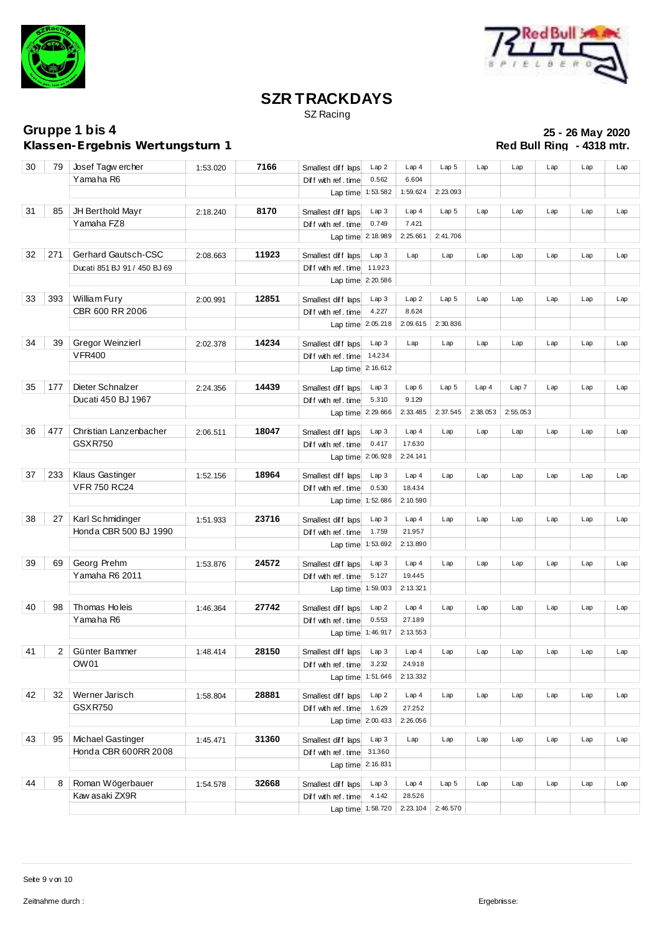



SZ Racing

**Klassen-Ergebnis Wertungsturn 1** 

| 30 | 79             | Josef Tagw ercher            | 1:53.020 | 7166  | Smallest diff laps  | Lap 2             | Lap4             | Lap <sub>5</sub> | Lap      | Lap      | Lap | Lap | Lap |
|----|----------------|------------------------------|----------|-------|---------------------|-------------------|------------------|------------------|----------|----------|-----|-----|-----|
|    |                | Yamaha R6                    |          |       | Diff with ref. time | 0.562             | 6.604            |                  |          |          |     |     |     |
|    |                |                              |          |       |                     | Lap time 1:53.582 | 1:59.624         | 2:23.093         |          |          |     |     |     |
|    |                |                              |          |       |                     |                   |                  |                  |          |          |     |     |     |
| 31 | 85             | JH Berthold Mayr             | 2:18.240 | 8170  | Smallest diff laps  | Lap3              | Lap4             | Lap <sub>5</sub> | Lap      | Lap      | Lap | Lap | Lap |
|    |                | Yamaha FZ8                   |          |       | Diff with ref.time  | 0.749             | 7.421            |                  |          |          |     |     |     |
|    |                |                              |          |       | Lap time 2:18.989   |                   | 2:25.661         | 2:41.706         |          |          |     |     |     |
| 32 | 271            | Gerhard Gautsch-CSC          | 2:08.663 | 11923 | Smallest diff laps  | Lap3              | Lap              | Lap              | Lap      | Lap      | Lap | Lap | Lap |
|    |                | Ducati 851 BJ 91 / 450 BJ 69 |          |       | Diff with ref. time | 11.923            |                  |                  |          |          |     |     |     |
|    |                |                              |          |       | Lap time 2:20.586   |                   |                  |                  |          |          |     |     |     |
| 33 | 393            | William Fury                 | 2:00.991 | 12851 | Smallest diff laps  | Lap3              | Lap2             | Lap <sub>5</sub> | Lap      | Lap      | Lap | Lap | Lap |
|    |                | CBR 600 RR 2006              |          |       | Diff with ref. time | 4.227             | 8.624            |                  |          |          |     |     |     |
|    |                |                              |          |       |                     |                   | 2:09.615         | 2:30.836         |          |          |     |     |     |
|    |                |                              |          |       |                     | Lap time 2:05.218 |                  |                  |          |          |     |     |     |
| 34 | 39             | Gregor Weinzierl             | 2:02.378 | 14234 | Smallest diff laps  | Lap3              | Lap              | Lap              | Lap      | Lap      | Lap | Lap | Lap |
|    |                | <b>VFR400</b>                |          |       | Diff with ref. time | 14.234            |                  |                  |          |          |     |     |     |
|    |                |                              |          |       | Lap time 2:16.612   |                   |                  |                  |          |          |     |     |     |
|    |                |                              |          |       |                     |                   |                  |                  |          |          |     |     |     |
| 35 | 177            | Dieter Schnalzer             | 2:24.356 | 14439 | Smallest diff laps  | Lap3              | Lap6             | Lap <sub>5</sub> | Lap4     | Lap 7    | Lap | Lap | Lap |
|    |                | Ducati 450 BJ 1967           |          |       | Diff with ref. time | 5.310             | 9.129            |                  |          |          |     |     |     |
|    |                |                              |          |       |                     | Lap time 2:29.666 | 2:33.485         | 2:37.545         | 2:38.053 | 2:55.053 |     |     |     |
| 36 | 477            | Christian Lanzenbacher       | 2:06.511 | 18047 | Smallest diff laps  | Lap3              | Lap4             | Lap              | Lap      | Lap      | Lap | Lap | Lap |
|    |                | <b>GSXR750</b>               |          |       | Diff with ref. time | 0.417             | 17.630           |                  |          |          |     |     |     |
|    |                |                              |          |       | Lap time 2:06.928   |                   | 2:24.141         |                  |          |          |     |     |     |
|    |                |                              |          |       |                     |                   |                  |                  |          |          |     |     |     |
| 37 | 233            | Klaus Gastinger              | 1:52.156 | 18964 | Smallest diff laps  | Lap3              | Lap4             | Lap              | Lap      | Lap      | Lap | Lap | Lap |
|    |                | <b>VFR 750 RC24</b>          |          |       | Diff with ref. time | 0.530             | 18.434           |                  |          |          |     |     |     |
|    |                |                              |          |       |                     | Lap time 1:52.686 | 2:10.590         |                  |          |          |     |     |     |
| 38 | 27             | Karl Schmidinger             |          | 23716 |                     | Lap3              | Lap4             | Lap              | Lap      | Lap      | Lap | Lap | Lap |
|    |                | Honda CBR 500 BJ 1990        | 1:51.933 |       | Smallest diff laps  | 1.759             | 21.957           |                  |          |          |     |     |     |
|    |                |                              |          |       | Diff with ref. time |                   |                  |                  |          |          |     |     |     |
|    |                |                              |          |       | Lap time 1:53.692   |                   | 2:13.890         |                  |          |          |     |     |     |
| 39 | 69             | Georg Prehm                  | 1:53.876 | 24572 | Smallest diff laps  | Lap3              | Lap4             | Lap              | Lap      | Lap      | Lap | Lap | Lap |
|    |                | Yamaha R6 2011               |          |       | Diff with ref. time | 5.127             | 19.445           |                  |          |          |     |     |     |
|    |                |                              |          |       | Lap time 1:59.003   |                   | 2:13.321         |                  |          |          |     |     |     |
|    |                |                              |          |       |                     |                   |                  |                  |          |          |     |     |     |
| 40 | 98             | Thomas Holeis                | 1:46.364 | 27742 | Smallest diff laps  | Lap 2             | Lap4             | Lap              | Lap      | Lap      | Lap | Lap | Lap |
|    |                | Yamaha R6                    |          |       | Diff with ref. time | 0.553             | 27.189           |                  |          |          |     |     |     |
|    |                |                              |          |       | Lap time 1:46.917   |                   | 2:13.553         |                  |          |          |     |     |     |
| 41 | $\overline{2}$ | Günter Bammer                |          | 28150 |                     | Lap 3             | Lap <sub>4</sub> | Lap              | Lap      | Lap      | Lap | Lap | Lap |
|    |                | OW01                         | 1:48.414 |       | Smallest diff laps  | 3.232             | 24.918           |                  |          |          |     |     |     |
|    |                |                              |          |       | Diff with ref. time |                   |                  |                  |          |          |     |     |     |
|    |                |                              |          |       |                     | Lap time 1:51.646 | 2:13.332         |                  |          |          |     |     |     |
| 42 | 32             | Werner Jarisch               | 1:58.804 | 28881 | Smallest diff laps  | Lap2              | Lap4             | Lap              | Lap      | Lap      | Lap | Lap | Lap |
|    |                | <b>GSXR750</b>               |          |       | Diff with ref. time | 1.629             | 27.252           |                  |          |          |     |     |     |
|    |                |                              |          |       | Lap time 2:00.433   |                   | 2:26.056         |                  |          |          |     |     |     |
|    |                |                              |          |       |                     |                   |                  |                  |          |          |     |     |     |
| 43 | 95             | Michael Gastinger            | 1:45.471 | 31360 | Smallest diff laps  | Lap3              | Lap              | Lap              | Lap      | Lap      | Lap | Lap | Lap |
|    |                | Honda CBR 600RR 2008         |          |       | Diff with ref. time | 31.360            |                  |                  |          |          |     |     |     |
|    |                |                              |          |       | Lap time 2:16.831   |                   |                  |                  |          |          |     |     |     |
| 44 | 8              | Roman Wögerbauer             | 1:54.578 | 32668 | Smallest diff laps  | Lap3              | Lap <sub>4</sub> | Lap <sub>5</sub> | Lap      | Lap      | Lap | Lap | Lap |
|    |                | Kaw asaki ZX9R               |          |       | Diff with ref. time | 4.142             | 28.526           |                  |          |          |     |     |     |
|    |                |                              |          |       | Lap time 1:58.720   |                   | 2:23.104         | 2:46.570         |          |          |     |     |     |
|    |                |                              |          |       |                     |                   |                  |                  |          |          |     |     |     |